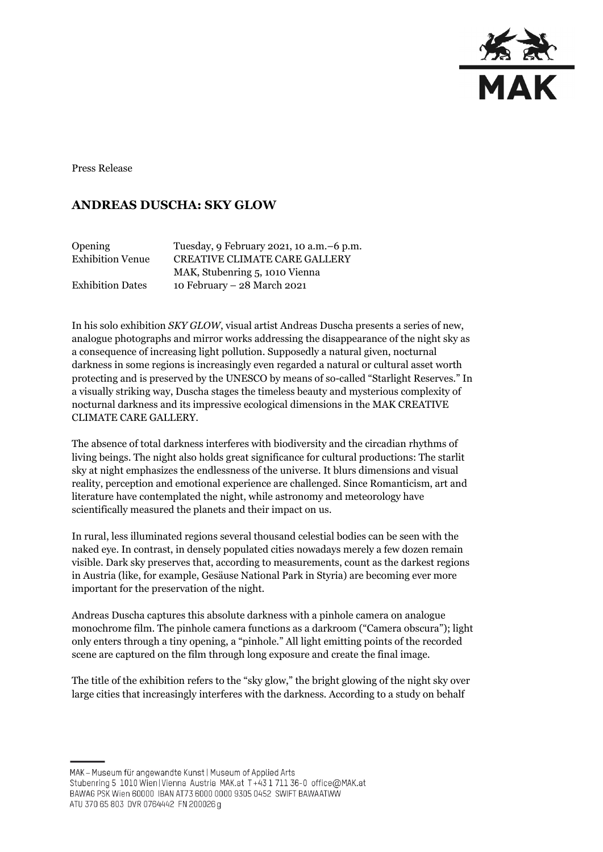

Press Release

## **ANDREAS DUSCHA: SKY GLOW**

| Opening                 | Tuesday, 9 February 2021, 10 a.m. -6 p.m. |
|-------------------------|-------------------------------------------|
| <b>Exhibition Venue</b> | <b>CREATIVE CLIMATE CARE GALLERY</b>      |
|                         | MAK, Stubenring 5, 1010 Vienna            |
| <b>Exhibition Dates</b> | 10 February - 28 March 2021               |

In his solo exhibition *SKY GLOW*, visual artist Andreas Duscha presents a series of new, analogue photographs and mirror works addressing the disappearance of the night sky as a consequence of increasing light pollution. Supposedly a natural given, nocturnal darkness in some regions is increasingly even regarded a natural or cultural asset worth protecting and is preserved by the UNESCO by means of so-called "Starlight Reserves." In a visually striking way, Duscha stages the timeless beauty and mysterious complexity of nocturnal darkness and its impressive ecological dimensions in the MAK CREATIVE CLIMATE CARE GALLERY.

The absence of total darkness interferes with biodiversity and the circadian rhythms of living beings. The night also holds great significance for cultural productions: The starlit sky at night emphasizes the endlessness of the universe. It blurs dimensions and visual reality, perception and emotional experience are challenged. Since Romanticism, art and literature have contemplated the night, while astronomy and meteorology have scientifically measured the planets and their impact on us.

In rural, less illuminated regions several thousand celestial bodies can be seen with the naked eye. In contrast, in densely populated cities nowadays merely a few dozen remain visible. Dark sky preserves that, according to measurements, count as the darkest regions in Austria (like, for example, Gesäuse National Park in Styria) are becoming ever more important for the preservation of the night.

Andreas Duscha captures this absolute darkness with a pinhole camera on analogue monochrome film. The pinhole camera functions as a darkroom ("Camera obscura"); light only enters through a tiny opening, a "pinhole." All light emitting points of the recorded scene are captured on the film through long exposure and create the final image.

The title of the exhibition refers to the "sky glow," the bright glowing of the night sky over large cities that increasingly interferes with the darkness. According to a study on behalf

MAK - Museum für angewandte Kunst | Museum of Applied Arts

Stubenring 5 1010 Wien | Vienna Austria MAK.at T+43 1 711 36-0 office@MAK.at

BAWAG PSK Wien 60000 IBAN AT73 6000 0000 9305 0452 SWIFT BAWAATWW

ATU 370 65 803 DVR 0764442 FN 200026 g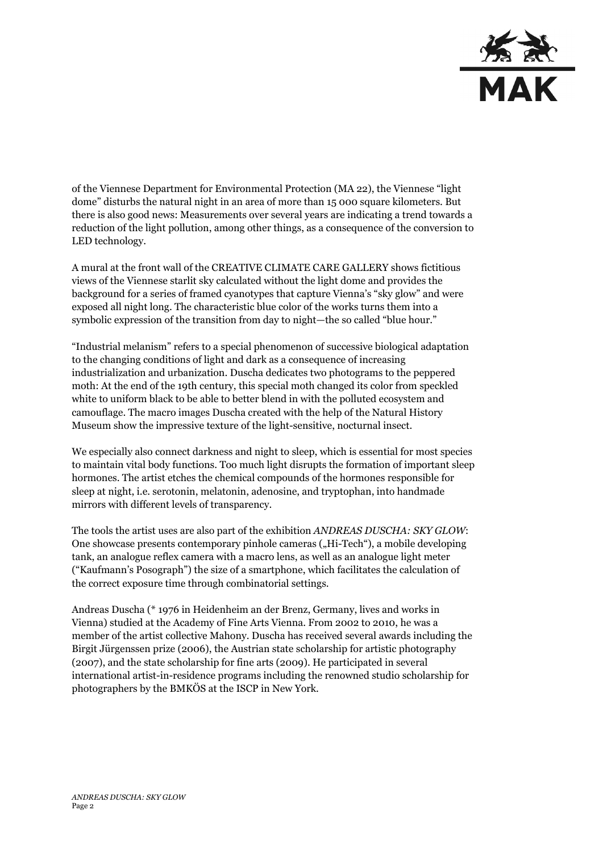

of the Viennese Department for Environmental Protection (MA 22), the Viennese "light dome" disturbs the natural night in an area of more than 15 000 square kilometers. But there is also good news: Measurements over several years are indicating a trend towards a reduction of the light pollution, among other things, as a consequence of the conversion to LED technology.

A mural at the front wall of the CREATIVE CLIMATE CARE GALLERY shows fictitious views of the Viennese starlit sky calculated without the light dome and provides the background for a series of framed cyanotypes that capture Vienna's "sky glow" and were exposed all night long. The characteristic blue color of the works turns them into a symbolic expression of the transition from day to night—the so called "blue hour."

"Industrial melanism" refers to a special phenomenon of successive biological adaptation to the changing conditions of light and dark as a consequence of increasing industrialization and urbanization. Duscha dedicates two photograms to the peppered moth: At the end of the 19th century, this special moth changed its color from speckled white to uniform black to be able to better blend in with the polluted ecosystem and camouflage. The macro images Duscha created with the help of the Natural History Museum show the impressive texture of the light-sensitive, nocturnal insect.

We especially also connect darkness and night to sleep, which is essential for most species to maintain vital body functions. Too much light disrupts the formation of important sleep hormones. The artist etches the chemical compounds of the hormones responsible for sleep at night, i.e. serotonin, melatonin, adenosine, and tryptophan, into handmade mirrors with different levels of transparency.

The tools the artist uses are also part of the exhibition *ANDREAS DUSCHA: SKY GLOW*: One showcase presents contemporary pinhole cameras ("Hi-Tech"), a mobile developing tank, an analogue reflex camera with a macro lens, as well as an analogue light meter ("Kaufmann's Posograph") the size of a smartphone, which facilitates the calculation of the correct exposure time through combinatorial settings.

Andreas Duscha (\* 1976 in Heidenheim an der Brenz, Germany, lives and works in Vienna) studied at the Academy of Fine Arts Vienna. From 2002 to 2010, he was a member of the artist collective Mahony. Duscha has received several awards including the Birgit Jürgenssen prize (2006), the Austrian state scholarship for artistic photography (2007), and the state scholarship for fine arts (2009). He participated in several international artist-in-residence programs including the renowned studio scholarship for photographers by the BMKÖS at the ISCP in New York.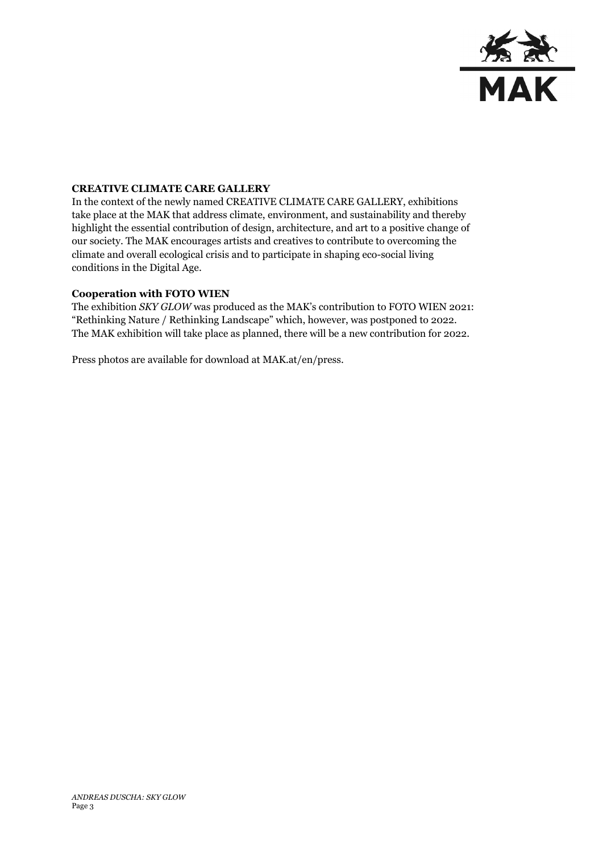

## **CREATIVE CLIMATE CARE GALLERY**

In the context of the newly named CREATIVE CLIMATE CARE GALLERY, exhibitions take place at the MAK that address climate, environment, and sustainability and thereby highlight the essential contribution of design, architecture, and art to a positive change of our society. The MAK encourages artists and creatives to contribute to overcoming the climate and overall ecological crisis and to participate in shaping eco-social living conditions in the Digital Age.

## **Cooperation with FOTO WIEN**

The exhibition *SKY GLOW* was produced as the MAK's contribution to FOTO WIEN 2021: "Rethinking Nature / Rethinking Landscape" which, however, was postponed to 2022. The MAK exhibition will take place as planned, there will be a new contribution for 2022.

Press photos are available for download at MAK.at/en/press.